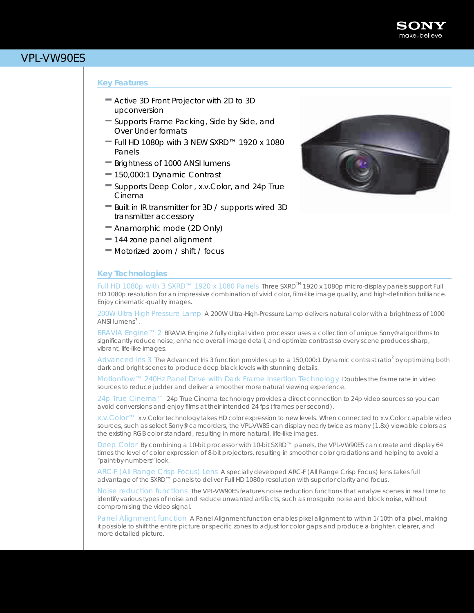

# VPL-VW90ES

## *Key Features*

- Active 3D Front Projector with 2D to 3D upconversion
- Supports Frame Packing, Side by Side, and Over Under formats
- $=$  Full HD 1080p with 3 NEW SXRD™ 1920 x 1080 Panels
- Brightness of 1000 ANSI lumens
- 150,000:1 Dynamic Contrast
- Supports Deep Color , x.v.Color, and 24p True Cinema
- Built in IR transmitter for 3D / supports wired 3D transmitter accessory
- Anamorphic mode (2D Only)
- 144 zone panel alignment
- Motorized zoom / shift / focus

## *Key Technologies*



Full HD 1080p with 3 SXRD™ 1920 x 1080 Panels Three SXRD<sup>™</sup> 1920 x 1080p micro-display panels support Full HD 1080p resolution for an impressive combination of vivid color, film-like image quality, and high-definition brilliance. Enjoy cinematic-quality images.

200W Ultra-High-Pressure Lamp A 200W Ultra-High-Pressure Lamp delivers natural color with a brightness of 1000 ANSI lumens<sup>3</sup>.

BRAVIA Engine™ 2 BRAVIA Engine 2 fully digital video processor uses a collection of unique Sony® algorithms to significantly reduce noise, enhance overall image detail, and optimize contrast so every scene produces sharp, vibrant, life-like images.

Advanced Iris 3 The Advanced Iris 3 function provides up to a 150,000:1 Dynamic contrast ratio<sup>2</sup> by optimizing both dark and bright scenes to produce deep black levels with stunning details.

Motionflow™ 240Hz Panel Drive with Dark Frame Insertion Technology Doubles the frame rate in video sources to reduce judder and deliver a smoother more natural viewing experience.

24p True Cinema™ 24p True Cinema technology provides a direct connection to 24p video sources so you can avoid conversions and enjoy films at their intended 24 fps (frames per second).

x.v.Color™ x.v.Color technology takes HD color expression to new levels. When connected to x.v.Color capable video sources, such as select Sony® camcorders, the VPL-VW85 can display nearly twice as many (1.8x) viewable colors as the existing RGB color standard, resulting in more natural, life-like images.

Deep Color By combining a 10-bit processor with 10-bit SXRD™ panels, the VPL-VW90ES can create and display 64 times the level of color expression of 8-bit projectors, resulting in smoother color gradations and helping to avoid a "paint-by-numbers"look.

ARC-F (All Range Crisp Focus) Lens A specially developed ARC-F (All Range Crisp Focus) lens takes full advantage of the SXRD™ panels to deliver Full HD 1080p resolution with superior clarity and focus.

Noise reduction functions The VPL-VW90ES features noise reduction functions that analyze scenes in real time to identify various types of noise and reduce unwanted artifacts, such as mosquito noise and block noise, without compromising the video signal.

Panel Alignment function A Panel Alignment function enables pixel alignment to within 1/10th of a pixel, making it possible to shift the entire picture or specific zones to adjust for color gaps and produce a brighter, clearer, and more detailed picture.